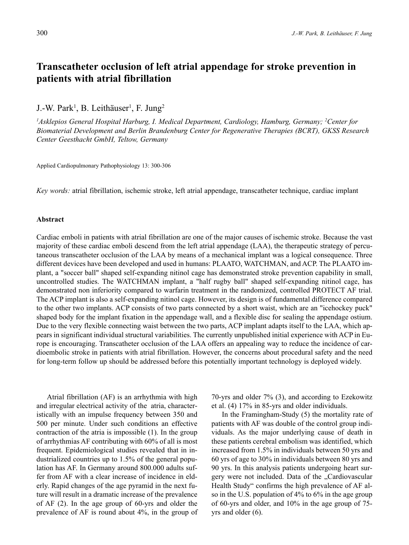# **Transcatheter occlusion of left atrial appendage for stroke prevention in patients with atrial fibrillation**

J.-W. Park<sup>1</sup>, B. Leithäuser<sup>1</sup>, F. Jung<sup>2</sup>

*1 Asklepios General Hospital Harburg, I. Medical Department, Cardiology, Hamburg, Germany; 2 Center for Biomaterial Development and Berlin Brandenburg Center for Regenerative Therapies (BCRT), GKSS Research Center Geesthacht GmbH, Teltow, Germany*

Applied Cardiopulmonary Pathophysiology 13: 300-306

*Key words:* atrial fibrillation, ischemic stroke, left atrial appendage, transcatheter technique, cardiac implant

#### **Abstract**

Cardiac emboli in patients with atrial fibrillation are one of the major causes of ischemic stroke. Because the vast majority of these cardiac emboli descend from the left atrial appendage (LAA), the therapeutic strategy of percutaneous transcatheter occlusion of the LAA by means of a mechanical implant was a logical consequence. Three different devices have been developed and used in humans: PLAATO, WATCHMAN, and ACP. The PLAATO implant, a "soccer ball" shaped self-expanding nitinol cage has demonstrated stroke prevention capability in small, uncontrolled studies. The WATCHMAN implant, a "half rugby ball" shaped self-expanding nitinol cage, has demonstrated non inferiority compared to warfarin treatment in the randomized, controlled PROTECT AF trial. The ACP implant is also a self-expanding nitinol cage. However, its design is of fundamental difference compared to the other two implants. ACP consists of two parts connected by a short waist, which are an "icehockey puck" shaped body for the implant fixation in the appendage wall, and a flexible disc for sealing the appendage ostium. Due to the very flexible connecting waist between the two parts, ACP implant adapts itself to the LAA, which appears in significant individual structural variabilities. The currently unpublished initial experience with ACP in Europe is encouraging. Transcatheter occlusion of the LAA offers an appealing way to reduce the incidence of cardioembolic stroke in patients with atrial fibrillation. However, the concerns about procedural safety and the need for long-term follow up should be addressed before this potentially important technology is deployed widely.

Atrial fibrillation (AF) is an arrhythmia with high and irregular electrical activity of the atria, characteristically with an impulse frequency between 350 and 500 per minute. Under such conditions an effective contraction of the atria is impossible (1). In the group of arrhythmias AF contributing with 60% of all is most frequent. Epidemiological studies revealed that in industrialized countries up to 1.5% of the general population has AF. In Germany around 800.000 adults suffer from AF with a clear increase of incidence in elderly. Rapid changes of the age pyramid in the next future will result in a dramatic increase of the prevalence of AF (2). In the age group of 60-yrs and older the prevalence of AF is round about 4%, in the group of 70-yrs and older 7% (3), and according to Ezekowitz et al. (4) 17% in 85-yrs and older individuals.

In the Framingham-Study (5) the mortality rate of patients with AF was double of the control group individuals. As the major underlying cause of death in these patients cerebral embolism was identified, which increased from 1.5% in individuals between 50 yrs and 60 yrs of age to 30% in individuals between 80 yrs and 90 yrs. In this analysis patients undergoing heart surgery were not included. Data of the ..Cardiovascular Health Study" confirms the high prevalence of AF also in the U.S. population of 4% to 6% in the age group of 60-yrs and older, and 10% in the age group of 75 yrs and older (6).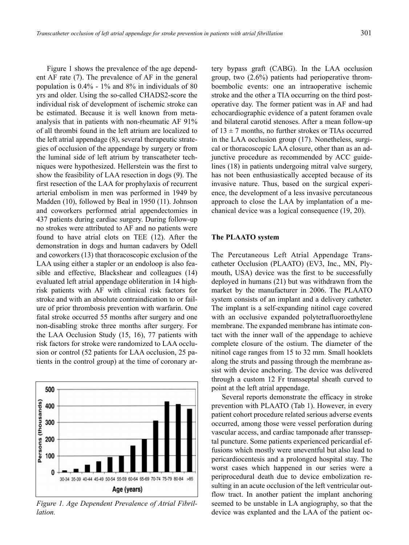Figure 1 shows the prevalence of the age dependent AF rate (7). The prevalence of AF in the general population is 0.4% - 1% and 8% in individuals of 80 yrs and older. Using the so-called CHADS2-score the individual risk of development of ischemic stroke can be estimated. Because it is well known from metaanalysis that in patients with non-rheumatic AF 91% of all thrombi found in the left atrium are localized to the left atrial appendage (8), several therapeutic strategies of occlusion of the appendage by surgery or from the luminal side of left atrium by transcatheter techniques were hypothesized. Hellerstein was the first to show the feasibility of LAA resection in dogs (9). The first resection of the LAA for prophylaxis of recurrent arterial embolism in men was performed in 1949 by Madden (10), followed by Beal in 1950 (11). Johnson and coworkers performed atrial appendectomies in 437 patients during cardiac surgery. During follow-up no strokes were attributed to AF and no patients were found to have atrial clots on TEE (12). After the demonstration in dogs and human cadavers by Odell and coworkers (13) that thoracoscopic exclusion of the LAA using either a stapler or an endoloop is also feasible and effective, Blackshear and colleagues (14) evaluated left atrial appendage obliteration in 14 highrisk patients with AF with clinical risk factors for stroke and with an absolute contraindication to or failure of prior thrombosis prevention with warfarin. One fatal stroke occurred 55 months after surgery and one non-disabling stroke three months after surgery. For the LAA Occlusion Study (15, 16), 77 patients with risk factors for stroke were randomized to LAA occlusion or control (52 patients for LAA occlusion, 25 patients in the control group) at the time of coronary ar-



*Figure 1. Age Dependent Prevalence of Atrial Fibrillation.*

tery bypass graft (CABG). In the LAA occlusion group, two (2.6%) patients had perioperative thromboembolic events: one an intraoperative ischemic stroke and the other a TIA occurring on the third postoperative day. The former patient was in AF and had echocardiographic evidence of a patent foramen ovale and bilateral carotid stenoses. After a mean follow-up of  $13 \pm 7$  months, no further strokes or TIAs occurred in the LAA occlusion group (17). Nonetheless, surgical or thoracoscopic LAA closure, other than as an adjunctive procedure as recommended by ACC guidelines (18) in patients undergoing mitral valve surgery, has not been enthusiastically accepted because of its invasive nature. Thus, based on the surgical experience, the development of a less invasive percutaneous approach to close the LAA by implantation of a mechanical device was a logical consequence (19, 20).

### **The PLAATO system**

The Percutaneous Left Atrial Appendage Transcatheter Occlusion (PLAATO) (EV3, Inc., MN, Plymouth, USA) device was the first to be successfully deployed in humans (21) but was withdrawn from the market by the manufacturer in 2006. The PLAATO system consists of an implant and a delivery catheter. The implant is a self-expanding nitinol cage covered with an occlusive expanded polytetrafluoroethylene membrane. The expanded membrane has intimate contact with the inner wall of the appendage to achieve complete closure of the ostium. The diameter of the nitinol cage ranges from 15 to 32 mm. Small hooklets along the struts and passing through the membrane assist with device anchoring. The device was delivered through a custom 12 Fr transseptal sheath curved to point at the left atrial appendage.

Several reports demonstrate the efficacy in stroke prevention with PLAATO (Tab 1). However, in every patient cohort procedure related serious adverse events occurred, among those were vessel perforation during vascular access, and cardiac tamponade after transseptal puncture. Some patients experienced pericardial effusions which mostly were uneventful but also lead to pericardiocentesis and a prolonged hospital stay. The worst cases which happened in our series were a periprocedural death due to device embolization resulting in an acute occlusion of the left ventricular outflow tract. In another patient the implant anchoring seemed to be unstable in LA angiography, so that the device was explanted and the LAA of the patient oc-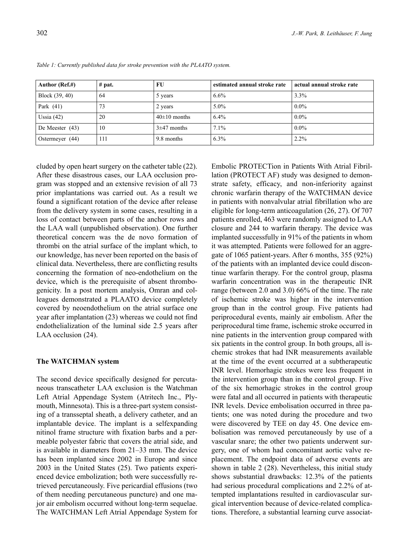| Author (Ref.#)    | $#$ pat. | FU               | estimated annual stroke rate | actual annual stroke rate |
|-------------------|----------|------------------|------------------------------|---------------------------|
| Block (39, 40)    | 64       | 5 years          | 6.6%                         | 3.3%                      |
| Park $(41)$       | 73       | 2 years          | $5.0\%$                      | $0.0\%$                   |
| Ussia $(42)$      | 20       | $40\pm10$ months | 6.4%                         | $0.0\%$                   |
| De Meester $(43)$ | 10       | $3\pm47$ months  | 7.1%                         | $0.0\%$                   |
| Ostermeyer (44)   | 111      | 9.8 months       | 6.3%                         | 2.2%                      |

*Table 1: Currently published data for stroke prevention with the PLAATO system.*

cluded by open heart surgery on the catheter table (22). After these disastrous cases, our LAA occlusion program was stopped and an extensive revision of all 73 prior implantations was carried out. As a result we found a significant rotation of the device after release from the delivery system in some cases, resulting in a loss of contact between parts of the anchor rows and the LAA wall (unpublished observation). One further theoretical concern was the de novo formation of thrombi on the atrial surface of the implant which, to our knowledge, has never been reported on the basis of clinical data. Nevertheless, there are conflicting results concerning the formation of neo-endothelium on the device, which is the prerequisite of absent thrombogenicity. In a post mortem analysis, Omran and colleagues demonstrated a PLAATO device completely covered by neoendothelium on the atrial surface one year after implantation (23) whereas we could not find endothelialization of the luminal side 2.5 years after LAA occlusion (24).

## **The WATCHMAN system**

The second device specifically designed for percutaneous transcatheter LAA exclusion is the Watchman Left Atrial Appendage System (Atritech Inc., Plymouth, Minnesota). This is a three-part system consisting of a transseptal sheath, a delivery catheter, and an implantable device. The implant is a selfexpanding nitinol frame structure with fixation barbs and a permeable polyester fabric that covers the atrial side, and is available in diameters from 21–33 mm. The device has been implanted since 2002 in Europe and since 2003 in the United States (25). Two patients experienced device embolization; both were successfully retrieved percutaneously. Five pericardial effusions (two of them needing percutaneous puncture) and one major air embolism occurred without long-term sequelae. The WATCHMAN Left Atrial Appendage System for Embolic PROTECTion in Patients With Atrial Fibrillation (PROTECT AF) study was designed to demonstrate safety, efficacy, and non-inferiority against chronic warfarin therapy of the WATCHMAN device in patients with nonvalvular atrial fibrillation who are eligible for long-term anticoagulation (26, 27). Of 707 patients enrolled, 463 were randomly assigned to LAA closure and 244 to warfarin therapy. The device was implanted successfully in 91% of the patients in whom it was attempted. Patients were followed for an aggregate of 1065 patient-years. After 6 months, 355 (92%) of the patients with an implanted device could discontinue warfarin therapy. For the control group, plasma warfarin concentration was in the therapeutic INR range (between 2.0 and 3.0) 66% of the time. The rate of ischemic stroke was higher in the intervention group than in the control group. Five patients had periprocedural events, mainly air embolism. After the periprocedural time frame, ischemic stroke occurred in nine patients in the intervention group compared with six patients in the control group. In both groups, all ischemic strokes that had INR measurements available at the time of the event occurred at a subtherapeutic INR level. Hemorhagic strokes were less frequent in the intervention group than in the control group. Five of the six hemorhagic strokes in the control group were fatal and all occurred in patients with therapeutic INR levels. Device embolisation occurred in three patients; one was noted during the procedure and two were discovered by TEE on day 45. One device embolisation was removed percutaneously by use of a vascular snare; the other two patients underwent surgery, one of whom had concomitant aortic valve replacement. The endpoint data of adverse events are shown in table 2 (28). Nevertheless, this initial study shows substantial drawbacks: 12.3% of the patients had serious procedural complications and 2.2% of attempted implantations resulted in cardiovascular surgical intervention because of device-related complications. Therefore, a substantial learning curve associat-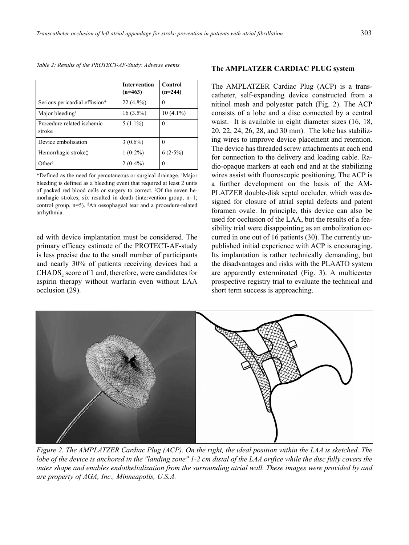| Table 2: Results of the PROTECT-AF-Study: Adverse events. |  |  |  |
|-----------------------------------------------------------|--|--|--|
|                                                           |  |  |  |

|                                      | <b>Intervention</b><br>$(n=463)$ | Control<br>$(n=244)$ |  |
|--------------------------------------|----------------------------------|----------------------|--|
| Serious pericardial effusion*        | $22(4.8\%)$                      | 0                    |  |
| Major bleeding <sup>†</sup>          | $16(3.5\%)$                      | $10(4.1\%)$          |  |
| Procedure related ischemic<br>stroke | $5(1.1\%)$                       | $\Omega$             |  |
| Device embolisation                  | $3(0.6\%)$                       | 0                    |  |
| Hemorrhagic stroke <sup>*</sup>      | $1(0.2\%)$                       | $6(2.5\%)$           |  |
| Other $\delta$                       | $2(0.4\%)$                       | 0                    |  |

\*Defined as the need for percutaneous or surgical drainage. † Major bleeding is defined as a bleeding event that required at least 2 units of packed red blood cells or surgery to correct. ‡ Of the seven hemorhagic strokes, six resulted in death (intervention group, n=1; control group, n=5). § An oesophageal tear and a procedure-related arrhythmia.

ed with device implantation must be considered. The primary efficacy estimate of the PROTECT-AF-study is less precise due to the small number of participants and nearly 30% of patients receiving devices had a CHADS<sub>2</sub> score of 1 and, therefore, were candidates for aspirin therapy without warfarin even without LAA occlusion (29).

#### **The AMPLATZER CARDIAC PLUG system**

The AMPLATZER Cardiac Plug (ACP) is a transcatheter, self-expanding device constructed from a nitinol mesh and polyester patch (Fig. 2). The ACP consists of a lobe and a disc connected by a central waist. It is available in eight diameter sizes (16, 18, 20, 22, 24, 26, 28, and 30 mm). The lobe has stabilizing wires to improve device placement and retention. The device has threaded screw attachments at each end for connection to the delivery and loading cable. Radio-opaque markers at each end and at the stabilizing wires assist with fluoroscopic positioning. The ACP is a further development on the basis of the AM-PLATZER double-disk septal occluder, which was designed for closure of atrial septal defects and patent foramen ovale. In principle, this device can also be used for occlusion of the LAA, but the results of a feasibility trial were disappointing as an embolization occurred in one out of 16 patients (30). The currently unpublished initial experience with ACP is encouraging. Its implantation is rather technically demanding, but the disadvantages and risks with the PLAATO system are apparently exterminated (Fig. 3). A multicenter prospective registry trial to evaluate the technical and short term success is approaching.



*Figure 2. The AMPLATZER Cardiac Plug (ACP). On the right, the ideal position within the LAA is sketched. The lobe of the device is anchored in the "landing zone" 1-2 cm distal of the LAA orifice while the disc fully covers the outer shape and enables endothelialization from the surrounding atrial wall. These images were provided by and are property of AGA, Inc., Minneapolis, U.S.A.*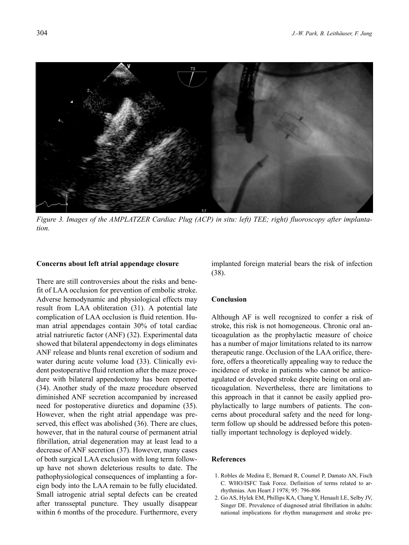

*Figure 3. Images of the AMPLATZER Cardiac Plug (ACP) in situ: left) TEE; right) fluoroscopy after implantation.*

#### **Concerns about left atrial appendage closure**

There are still controversies about the risks and benefit of LAA occlusion for prevention of embolic stroke. Adverse hemodynamic and physiological effects may result from LAA obliteration (31). A potential late complication of LAA occlusion is fluid retention. Human atrial appendages contain 30% of total cardiac atrial natriuretic factor (ANF) (32). Experimental data showed that bilateral appendectomy in dogs eliminates ANF release and blunts renal excretion of sodium and water during acute volume load (33). Clinically evident postoperative fluid retention after the maze procedure with bilateral appendectomy has been reported (34). Another study of the maze procedure observed diminished ANF secretion accompanied by increased need for postoperative diuretics and dopamine (35). However, when the right atrial appendage was preserved, this effect was abolished (36). There are clues, however, that in the natural course of permanent atrial fibrillation, atrial degeneration may at least lead to a decrease of ANF secretion (37). However, many cases of both surgical LAA exclusion with long term followup have not shown deleterious results to date. The pathophysiological consequences of implanting a foreign body into the LAA remain to be fully elucidated. Small iatrogenic atrial septal defects can be created after transseptal puncture. They usually disappear within 6 months of the procedure. Furthermore, every

implanted foreign material bears the risk of infection (38).

# **Conclusion**

Although AF is well recognized to confer a risk of stroke, this risk is not homogeneous. Chronic oral anticoagulation as the prophylactic measure of choice has a number of major limitations related to its narrow therapeutic range. Occlusion of the LAA orifice, therefore, offers a theoretically appealing way to reduce the incidence of stroke in patients who cannot be anticoagulated or developed stroke despite being on oral anticoagulation. Nevertheless, there are limitations to this approach in that it cannot be easily applied prophylactically to large numbers of patients. The concerns about procedural safety and the need for longterm follow up should be addressed before this potentially important technology is deployed widely.

# **References**

- 1. Robles de Medina E, Bernard R, Coumel P, Damato AN, Fisch C. WHO/ISFC Task Force. Definition of terms related to arrhythmias. Am Heart J 1978; 95: 796-806
- 2. Go AS, Hylek EM, Phillips KA, Chang Y, Henault LE, Selby JV, Singer DE. Prevalence of diagnosed atrial fibrillation in adults: national implications for rhythm management and stroke pre-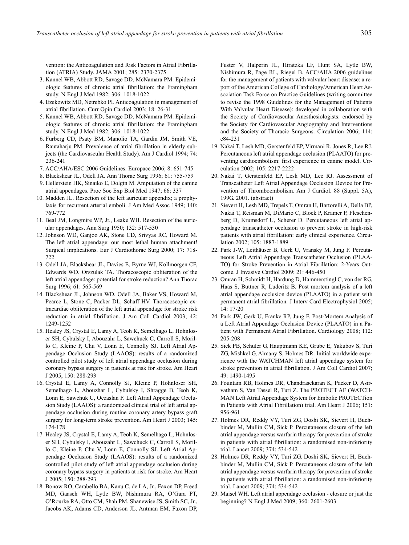vention: the Anticoagulation and Risk Factors in Atrial Fibrillation (ATRIA) Study. JAMA 2001; 285: 2370-2375

- 3. Kannel WB, Abbott RD, Savage DD, McNamara PM. Epidemiologic features of chronic atrial fibrillation: the Framingham study. N Engl J Med 1982; 306: 1018-1022
- 4. Ezekowitz MD, Netrebko PI. Anticoagulation in management of atrial fibrillation. Curr Opin Cardiol 2003; 18: 26-31
- 5. Kannel WB, Abbott RD, Savage DD, McNamara PM. Epidemiologic features of chronic atrial fibrillation: the Framingham study. N Engl J Med 1982; 306: 1018-1022
- 6. Furberg CD, Psaty BM, Manolio TA, Gardin JM, Smith VE, Rautaharju PM. Prevalence of atrial fibrillation in elderly subjects (the Cardiovascular Health Study). Am J Cardiol 1994; 74: 236-241
- 7. ACC/AHA/ESC 2006 Guidelines. Europace 2006; 8: 651-745
- 8. Blackshear JL, Odell JA. Ann Thorac Surg 1996; 61: 755-759
- 9. Hellerstein HK, Sinaiko E, Dolgin M. Amputation of the canine atrial appendages. Proc Soc Exp Biol Med 1947; 66: 337
- 10. Madden JL. Resection of the left auricular appendix; a prophylaxis for recurrent arterial emboli. J Am Med Assoc 1949; 140: 769-772
- 11. Beal JM, Longmire WP, Jr., Leake WH. Resection of the auricular appendages. Ann Surg 1950; 132: 517-530
- 12. Johnson WD, Ganjoo AK, Stone CD, Srivyas RC, Howard M. The left atrial appendage: our most lethal human attachment! Surgical implications. Eur J Cardiothorac Surg 2000; 17: 718- 722
- 13. Odell JA, Blackshear JL, Davies E, Byrne WJ, Kollmorgen CF, Edwards WD, Orszulak TA. Thoracoscopic obliteration of the left atrial appendage: potential for stroke reduction? Ann Thorac Surg 1996; 61: 565-569
- 14. Blackshear JL, Johnson WD, Odell JA, Baker VS, Howard M, Pearce L, Stone C, Packer DL, Schaff HV. Thoracoscopic extracardiac obliteration of the left atrial appendage for stroke risk reduction in atrial fibrillation. J Am Coll Cardiol 2003; 42: 1249-1252
- 15. Healey JS, Crystal E, Lamy A, Teoh K, Semelhago L, Hohnloser SH, Cybulsky I, Abouzahr L, Sawchuck C, Carroll S, Morillo C, Kleine P, Chu V, Lonn E, Connolly SJ. Left Atrial Appendage Occlusion Study (LAAOS): results of a randomized controlled pilot study of left atrial appendage occlusion during coronary bypass surgery in patients at risk for stroke. Am Heart J 2005; 150: 288-293
- 16. Crystal E, Lamy A, Connolly SJ, Kleine P, Hohnloser SH, Semelhago L, Abouzhar L, Cybulsky I, Shragge B, Teoh K, Lonn E, Sawchuk C, Oezaslan F. Left Atrial Appendage Occlusion Study (LAAOS): a randomized clinical trial of left atrial appendage occlusion during routine coronary artery bypass graft surgery for long-term stroke prevention. Am Heart J 2003; 145: 174-178
- 17. Healey JS, Crystal E, Lamy A, Teoh K, Semelhago L, Hohnloser SH, Cybulsky I, Abouzahr L, Sawchuck C, Carroll S, Morillo C, Kleine P, Chu V, Lonn E, Connolly SJ. Left Atrial Appendage Occlusion Study (LAAOS): results of a randomized controlled pilot study of left atrial appendage occlusion during coronary bypass surgery in patients at risk for stroke. Am Heart J 2005; 150: 288-293
- 18. Bonow RO, Carabello BA, Kanu C, de LA, Jr., Faxon DP, Freed MD, Gaasch WH, Lytle BW, Nishimura RA, O'Gara PT, O'Rourke RA, Otto CM, Shah PM, Shanewise JS, Smith SC, Jr., Jacobs AK, Adams CD, Anderson JL, Antman EM, Faxon DP,

Fuster V, Halperin JL, Hiratzka LF, Hunt SA, Lytle BW, Nishimura R, Page RL, Riegel B. ACC/AHA 2006 guidelines for the management of patients with valvular heart disease: a report of the American College of Cardiology/American Heart Association Task Force on Practice Guidelines (writing committee to revise the 1998 Guidelines for the Management of Patients With Valvular Heart Disease): developed in collaboration with the Society of Cardiovascular Anesthesiologists: endorsed by the Society for Cardiovascular Angiography and Interventions and the Society of Thoracic Surgeons. Circulation 2006; 114: e84-231

- 19. Nakai T, Lesh MD, Gerstenfeld EP, Virmani R, Jones R, Lee RJ. Percutaneous left atrial appendage occlusion (PLAATO) for preventing cardioembolism: first experience in canine model. Circulation 2002; 105: 2217-2222
- 20. Nakai T, Gerstenfeld EP, Lesh MD, Lee RJ. Assessment of Transcatheter Left Atrial Appendage Occlusion Device for Prevention of Thromboembolism. Am J Cardiol. 88 (Suppl. 5A), 199G. 2001. (abstract)
- 21. Sievert H, Lesh MD, Trepels T, Omran H, Bartorelli A, Della BP, Nakai T, Reisman M, DiMario C, Block P, Kramer P, Fleschenberg D, Krumsdorf U, Scherer D. Percutaneous left atrial appendage transcatheter occlusion to prevent stroke in high-risk patients with atrial fibrillation: early clinical experience. Circulation 2002; 105: 1887-1889
- 22. Park J-W, Leithäuser B, Gerk U, Vransky M, Jung F. Percutaneous Left Atrial Appendage Transcatheter Occlusion (PLAA-TO) for Stroke Prevention in Atrial Fibrillation: 2-Years Outcome. J Invasive Cardiol 2009; 21: 446-450
- 23. Omran H, Schmidt H, Hardung D, Hammerstingl C, von der RG, Haas S, Buttner R, Luderitz B. Post mortem analysis of a left atrial appendage occlusion device (PLAATO) in a patient with permanent atrial fibrillation. J Interv Card Electrophysiol 2005; 14: 17-20
- 24. Park JW, Gerk U, Franke RP, Jung F. Post-Mortem Analysis of a Left Atrial Appendage Occlusion Device (PLAATO) in a Patient with Permanent Atrial Fibrillation. Cardiology 2008; 112: 205-208
- 25. Sick PB, Schuler G, Hauptmann KE, Grube E, Yakubov S, Turi ZG, Mishkel G, Almany S, Holmes DR. Initial worldwide experience with the WATCHMAN left atrial appendage system for stroke prevention in atrial fibrillation. J Am Coll Cardiol 2007; 49: 1490-1495
- 26. Fountain RB, Holmes DR, Chandrasekaran K, Packer D, Asirvatham S, Van Tassel R, Turi Z. The PROTECT AF (WATCH-MAN Left Atrial Appendage System for Embolic PROTECTion in Patients with Atrial Fibrillation) trial. Am Heart J 2006; 151: 956-961
- 27. Holmes DR, Reddy VY, Turi ZG, Doshi SK, Sievert H, Buchbinder M, Mullin CM, Sick P. Percutaneous closure of the left atrial appendage versus warfarin therapy for prevention of stroke in patients with atrial fibrillation: a randomised non-inferiority trial. Lancet 2009; 374: 534-542
- 28. Holmes DR, Reddy VY, Turi ZG, Doshi SK, Sievert H, Buchbinder M, Mullin CM, Sick P. Percutaneous closure of the left atrial appendage versus warfarin therapy for prevention of stroke in patients with atrial fibrillation: a randomised non-inferiority trial. Lancet 2009; 374: 534-542
- 29. Maisel WH. Left atrial appendage occlusion closure or just the beginning? N Engl J Med 2009; 360: 2601-2603